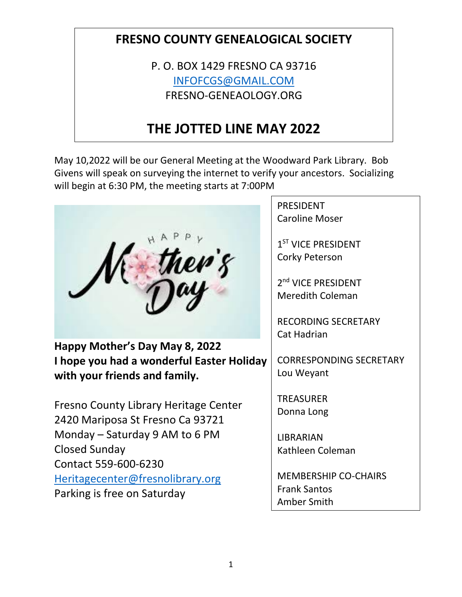## **FRESNO COUNTY GENEALOGICAL SOCIETY**

P. O. BOX 1429 FRESNO CA 93716 [INFOFCGS@GMAIL.COM](mailto:INFOFCGS@GMAIL.COM) FRESNO-GENEAOLOGY.ORG

# **THE JOTTED LINE MAY 2022**

May 10,2022 will be our General Meeting at the Woodward Park Library. Bob Givens will speak on surveying the internet to verify your ancestors. Socializing will begin at 6:30 PM, the meeting starts at 7:00PM

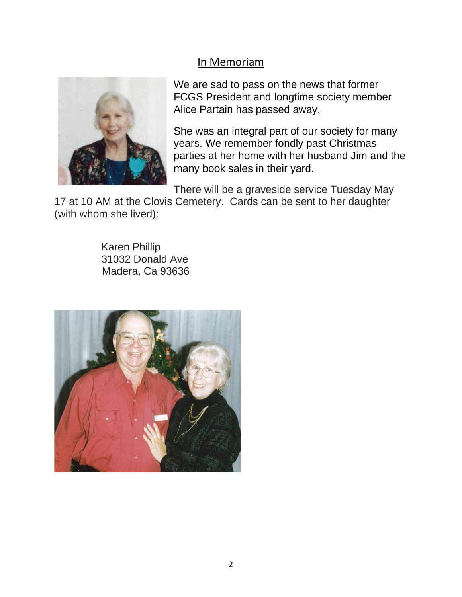## In Memoriam



We are sad to pass on the news that former FCGS President and longtime society member Alice Partain has passed away.

She was an integral part of our society for many years. We remember fondly past Christmas parties at her home with her husband Jim and the many book sales in their yard.

There will be a graveside service Tuesday May

17 at 10 AM at the Clovis Cemetery. Cards can be sent to her daughter (with whom she lived):

> Karen Phillip 31032 Donald Ave Madera, Ca 93636

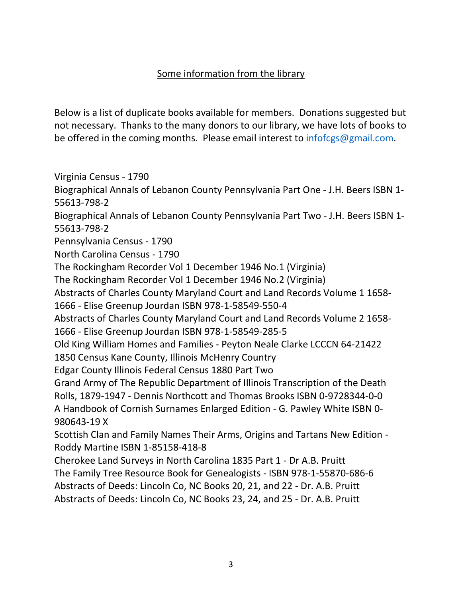## Some information from the library

Below is a list of duplicate books available for members. Donations suggested but not necessary. Thanks to the many donors to our library, we have lots of books to be offered in the coming months. Please email interest to [infofcgs@gmail.com.](mailto:infofcgs@gmail.com)

Virginia Census - 1790 Biographical Annals of Lebanon County Pennsylvania Part One - J.H. Beers ISBN 1- 55613-798-2 Biographical Annals of Lebanon County Pennsylvania Part Two - J.H. Beers ISBN 1- 55613-798-2 Pennsylvania Census - 1790 North Carolina Census - 1790 The Rockingham Recorder Vol 1 December 1946 No.1 (Virginia) The Rockingham Recorder Vol 1 December 1946 No.2 (Virginia) Abstracts of Charles County Maryland Court and Land Records Volume 1 1658- 1666 - Elise Greenup Jourdan ISBN 978-1-58549-550-4 Abstracts of Charles County Maryland Court and Land Records Volume 2 1658- 1666 - Elise Greenup Jourdan ISBN 978-1-58549-285-5 Old King William Homes and Families - Peyton Neale Clarke LCCCN 64-21422 1850 Census Kane County, Illinois McHenry Country Edgar County Illinois Federal Census 1880 Part Two Grand Army of The Republic Department of Illinois Transcription of the Death Rolls, 1879-1947 - Dennis Northcott and Thomas Brooks ISBN 0-9728344-0-0 A Handbook of Cornish Surnames Enlarged Edition - G. Pawley White ISBN 0- 980643-19 X Scottish Clan and Family Names Their Arms, Origins and Tartans New Edition - Roddy Martine ISBN 1-85158-418-8 Cherokee Land Surveys in North Carolina 1835 Part 1 - Dr A.B. Pruitt The Family Tree Resource Book for Genealogists - ISBN 978-1-55870-686-6 Abstracts of Deeds: Lincoln Co, NC Books 20, 21, and 22 - Dr. A.B. Pruitt Abstracts of Deeds: Lincoln Co, NC Books 23, 24, and 25 - Dr. A.B. Pruitt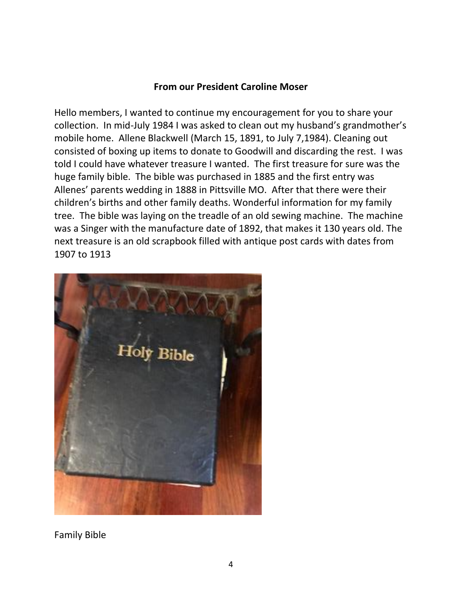#### **From our President Caroline Moser**

Hello members, I wanted to continue my encouragement for you to share your collection. In mid-July 1984 I was asked to clean out my husband's grandmother's mobile home. Allene Blackwell (March 15, 1891, to July 7,1984). Cleaning out consisted of boxing up items to donate to Goodwill and discarding the rest. I was told I could have whatever treasure I wanted. The first treasure for sure was the huge family bible. The bible was purchased in 1885 and the first entry was Allenes' parents wedding in 1888 in Pittsville MO. After that there were their children's births and other family deaths. Wonderful information for my family tree. The bible was laying on the treadle of an old sewing machine. The machine was a Singer with the manufacture date of 1892, that makes it 130 years old. The next treasure is an old scrapbook filled with antique post cards with dates from 1907 to 1913



Family Bible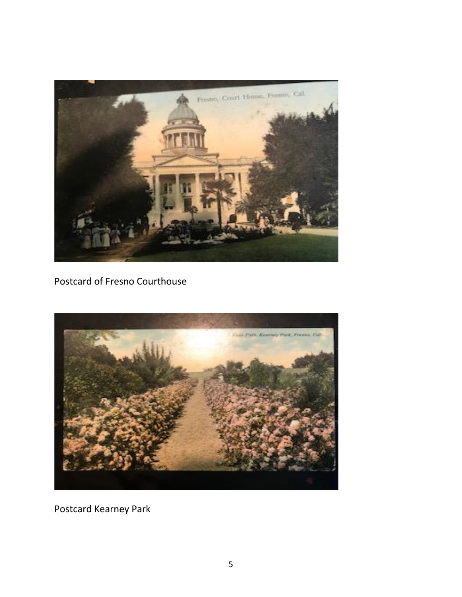

Postcard of Fresno Courthouse



Postcard Kearney Park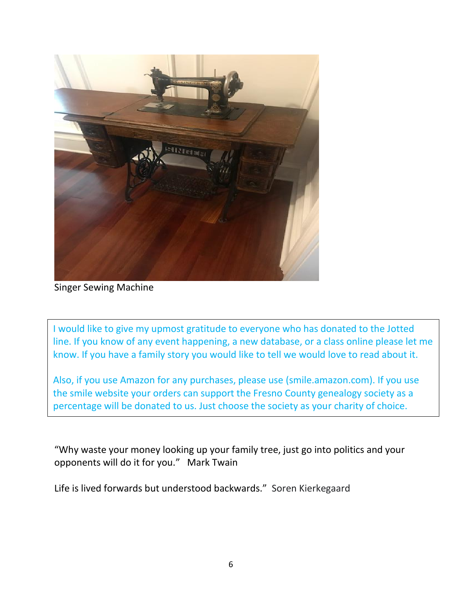

Singer Sewing Machine

I would like to give my upmost gratitude to everyone who has donated to the Jotted line. If you know of any event happening, a new database, or a class online please let me know. If you have a family story you would like to tell we would love to read about it.

Also, if you use Amazon for any purchases, please use (smile.amazon.com). If you use the smile website your orders can support the Fresno County genealogy society as a percentage will be donated to us. Just choose the society as your charity of choice.

"Why waste your money looking up your family tree, just go into politics and your opponents will do it for you." Mark Twain

Life is lived forwards but understood backwards." Soren Kierkegaard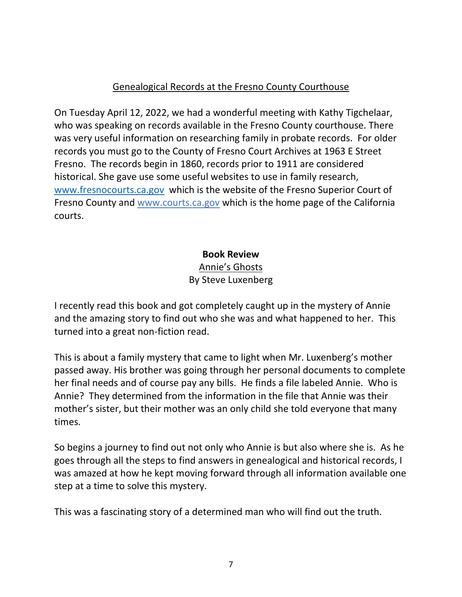## Genealogical Records at the Fresno County Courthouse

On Tuesday April 12, 2022, we had a wonderful meeting with Kathy Tigchelaar, who was speaking on records available in the Fresno County courthouse. There was very useful information on researching family in probate records. For older records you must go to the County of Fresno Court Archives at 1963 E Street Fresno. The records begin in 1860, records prior to 1911 are considered historical. She gave use some useful websites to use in family research, [www.fresnocourts.ca.gov](http://www.fresnocourts.ca.gov/) which is the website of the Fresno Superior Court of Fresno County and www.courts.ca.gov which is the home page of the California courts.

## **Book Review**

## Annie's Ghosts By Steve Luxenberg

I recently read this book and got completely caught up in the mystery of Annie and the amazing story to find out who she was and what happened to her. This turned into a great non-fiction read.

This is about a family mystery that came to light when Mr. Luxenberg's mother passed away. His brother was going through her personal documents to complete her final needs and of course pay any bills. He finds a file labeled Annie. Who is Annie? They determined from the information in the file that Annie was their mother's sister, but their mother was an only child she told everyone that many times.

So begins a journey to find out not only who Annie is but also where she is. As he goes through all the steps to find answers in genealogical and historical records, I was amazed at how he kept moving forward through all information available one step at a time to solve this mystery.

This was a fascinating story of a determined man who will find out the truth.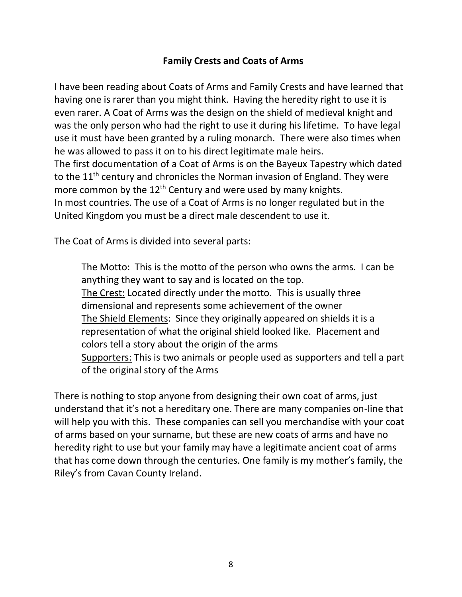## **Family Crests and Coats of Arms**

I have been reading about Coats of Arms and Family Crests and have learned that having one is rarer than you might think. Having the heredity right to use it is even rarer. A Coat of Arms was the design on the shield of medieval knight and was the only person who had the right to use it during his lifetime. To have legal use it must have been granted by a ruling monarch. There were also times when he was allowed to pass it on to his direct legitimate male heirs. The first documentation of a Coat of Arms is on the Bayeux Tapestry which dated to the  $11<sup>th</sup>$  century and chronicles the Norman invasion of England. They were more common by the  $12<sup>th</sup>$  Century and were used by many knights. In most countries. The use of a Coat of Arms is no longer regulated but in the United Kingdom you must be a direct male descendent to use it.

The Coat of Arms is divided into several parts:

The Motto: This is the motto of the person who owns the arms. I can be anything they want to say and is located on the top. The Crest: Located directly under the motto. This is usually three dimensional and represents some achievement of the owner The Shield Elements: Since they originally appeared on shields it is a representation of what the original shield looked like. Placement and colors tell a story about the origin of the arms Supporters: This is two animals or people used as supporters and tell a part of the original story of the Arms

There is nothing to stop anyone from designing their own coat of arms, just understand that it's not a hereditary one. There are many companies on-line that will help you with this. These companies can sell you merchandise with your coat of arms based on your surname, but these are new coats of arms and have no heredity right to use but your family may have a legitimate ancient coat of arms that has come down through the centuries. One family is my mother's family, the Riley's from Cavan County Ireland.